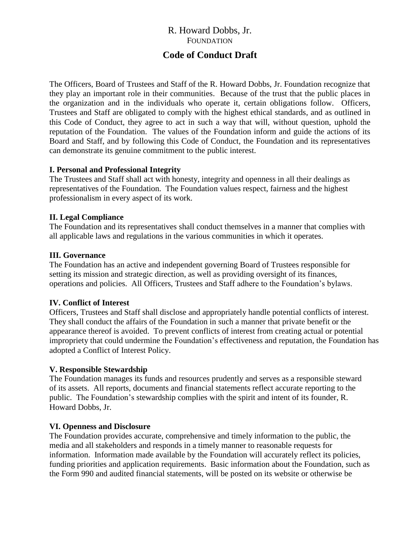# R. Howard Dobbs, Jr. FOUNDATION

## **Code of Conduct Draft**

The Officers, Board of Trustees and Staff of the R. Howard Dobbs, Jr. Foundation recognize that they play an important role in their communities. Because of the trust that the public places in the organization and in the individuals who operate it, certain obligations follow. Officers, Trustees and Staff are obligated to comply with the highest ethical standards, and as outlined in this Code of Conduct, they agree to act in such a way that will, without question, uphold the reputation of the Foundation. The values of the Foundation inform and guide the actions of its Board and Staff, and by following this Code of Conduct, the Foundation and its representatives can demonstrate its genuine commitment to the public interest.

#### **I. Personal and Professional Integrity**

The Trustees and Staff shall act with honesty, integrity and openness in all their dealings as representatives of the Foundation. The Foundation values respect, fairness and the highest professionalism in every aspect of its work.

## **II. Legal Compliance**

The Foundation and its representatives shall conduct themselves in a manner that complies with all applicable laws and regulations in the various communities in which it operates.

#### **III. Governance**

The Foundation has an active and independent governing Board of Trustees responsible for setting its mission and strategic direction, as well as providing oversight of its finances, operations and policies. All Officers, Trustees and Staff adhere to the Foundation's bylaws.

## **IV. Conflict of Interest**

Officers, Trustees and Staff shall disclose and appropriately handle potential conflicts of interest. They shall conduct the affairs of the Foundation in such a manner that private benefit or the appearance thereof is avoided. To prevent conflicts of interest from creating actual or potential impropriety that could undermine the Foundation's effectiveness and reputation, the Foundation has adopted a Conflict of Interest Policy.

## **V. Responsible Stewardship**

The Foundation manages its funds and resources prudently and serves as a responsible steward of its assets. All reports, documents and financial statements reflect accurate reporting to the public. The Foundation's stewardship complies with the spirit and intent of its founder, R. Howard Dobbs, Jr.

#### **VI. Openness and Disclosure**

The Foundation provides accurate, comprehensive and timely information to the public, the media and all stakeholders and responds in a timely manner to reasonable requests for information. Information made available by the Foundation will accurately reflect its policies, funding priorities and application requirements. Basic information about the Foundation, such as the Form 990 and audited financial statements, will be posted on its website or otherwise be